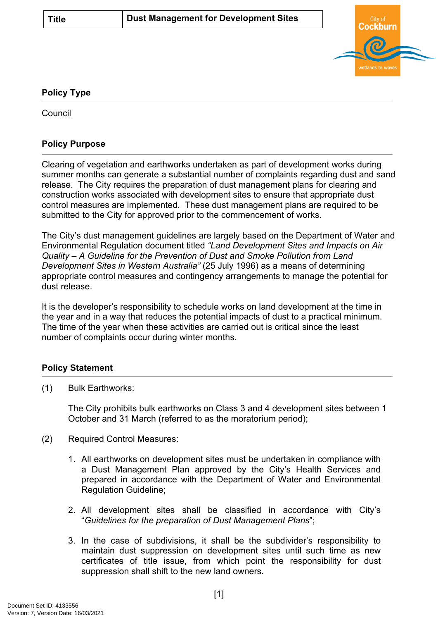

## **Policy Type**

**Council** 

## **Policy Purpose**

Clearing of vegetation and earthworks undertaken as part of development works during summer months can generate a substantial number of complaints regarding dust and sand release. The City requires the preparation of dust management plans for clearing and construction works associated with development sites to ensure that appropriate dust control measures are implemented. These dust management plans are required to be submitted to the City for approved prior to the commencement of works.

The City's dust management guidelines are largely based on the Department of Water and Environmental Regulation document titled *"Land Development Sites and Impacts on Air Quality – A Guideline for the Prevention of Dust and Smoke Pollution from Land Development Sites in Western Australia"* (25 July 1996) as a means of determining appropriate control measures and contingency arrangements to manage the potential for dust release.

It is the developer's responsibility to schedule works on land development at the time in the year and in a way that reduces the potential impacts of dust to a practical minimum. The time of the year when these activities are carried out is critical since the least number of complaints occur during winter months.

## **Policy Statement**

(1) Bulk Earthworks:

The City prohibits bulk earthworks on Class 3 and 4 development sites between 1 October and 31 March (referred to as the moratorium period);

- (2) Required Control Measures:
	- 1. All earthworks on development sites must be undertaken in compliance with a Dust Management Plan approved by the City's Health Services and prepared in accordance with the Department of Water and Environmental Regulation Guideline;
	- 2. All development sites shall be classified in accordance with City's "*Guidelines for the preparation of Dust Management Plans*";
	- 3. In the case of subdivisions, it shall be the subdivider's responsibility to maintain dust suppression on development sites until such time as new certificates of title issue, from which point the responsibility for dust suppression shall shift to the new land owners.